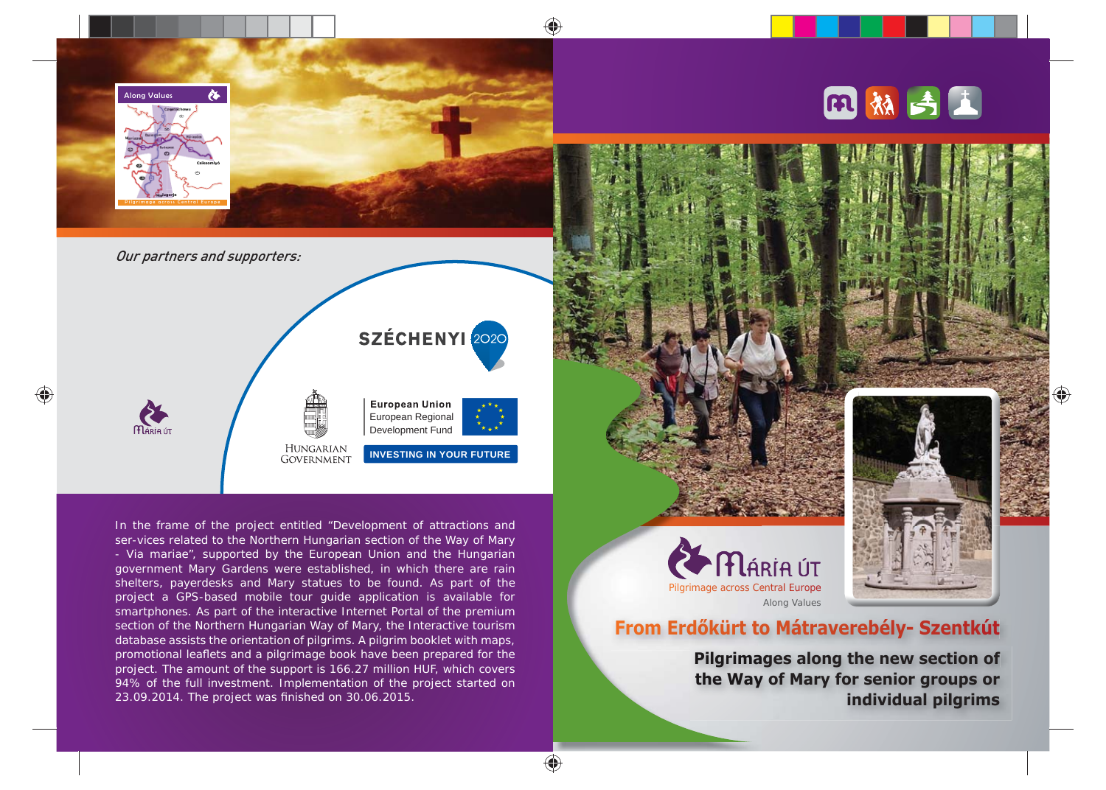

♠

In the frame of the project entitled "Development of attractions and ser-vices related to the Northern Hungarian section of the Way of Mary - Via mariae", supported by the European Union and the Hungarian government Mary Gardens were established, in which there are rain shelters, payerdesks and Mary statues to be found. As part of the project a GPS-based mobile tour guide application is available for smartphones. As part of the interactive Internet Portal of the premium section of the Northern Hungarian Way of Mary, the Interactive tourism database assists the orientation of pilgrims. A pilgrim booklet with maps, promotional leaflets and a pilgrimage book have been prepared for the project. The amount of the support is 166.27 million HUF, which covers 94% of the full investment. Implementation of the project started on 23.09.2014. The project was finished on 30.06.2015.



## **From Erdőkürt to Mátraverebély- Szentkút to**

**Pilgrimages along the new section of Pilgrima the Way of Mary for senior groups or Way individual pilgrims**